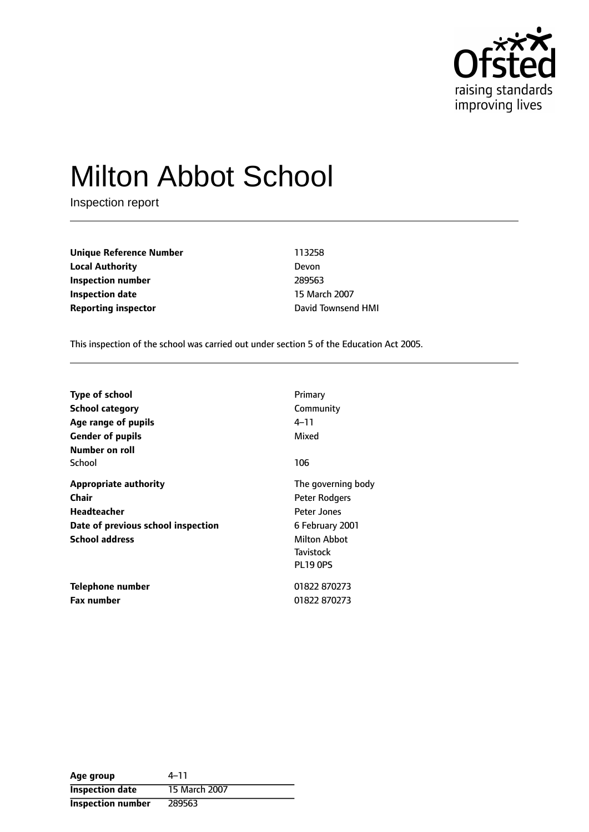

# Milton Abbot School

Inspection report

**Unique Reference Number** 113258 **Local Authority** Devon **Inspection number** 289563 **Inspection date** 15 March 2007 **Reporting inspector CONFIDENTIFY REPORTING TO PROPERTY** David Townsend HMI

This inspection of the school was carried out under section 5 of the Education Act 2005.

| <b>Type of school</b><br>School category<br>Age range of pupils<br><b>Gender of pupils</b><br>Number on roll               | Primary<br>Community<br>4–11<br>Mixed                                                                                 |
|----------------------------------------------------------------------------------------------------------------------------|-----------------------------------------------------------------------------------------------------------------------|
| School                                                                                                                     | 106                                                                                                                   |
| <b>Appropriate authority</b><br>Chair<br><b>Headteacher</b><br>Date of previous school inspection<br><b>School address</b> | The governing body<br>Peter Rodgers<br>Peter Jones<br>6 February 2001<br>Milton Abbot<br>Tavistock<br><b>PL19 0PS</b> |
| Telephone number<br><b>Fax number</b>                                                                                      | 01822 870273<br>01822 870273                                                                                          |

Age group  $4-11$ **Inspection date** 15 March 2007 **Inspection number** 289563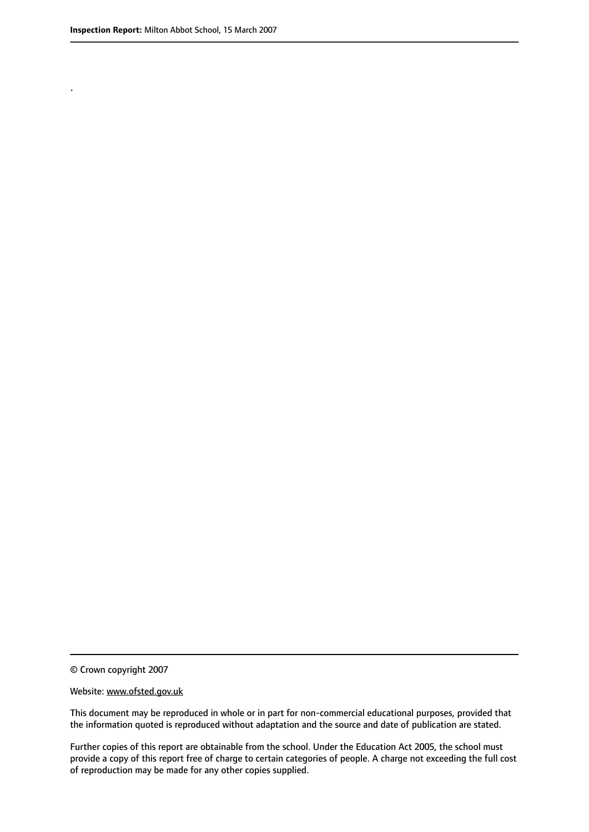.

© Crown copyright 2007

#### Website: www.ofsted.gov.uk

This document may be reproduced in whole or in part for non-commercial educational purposes, provided that the information quoted is reproduced without adaptation and the source and date of publication are stated.

Further copies of this report are obtainable from the school. Under the Education Act 2005, the school must provide a copy of this report free of charge to certain categories of people. A charge not exceeding the full cost of reproduction may be made for any other copies supplied.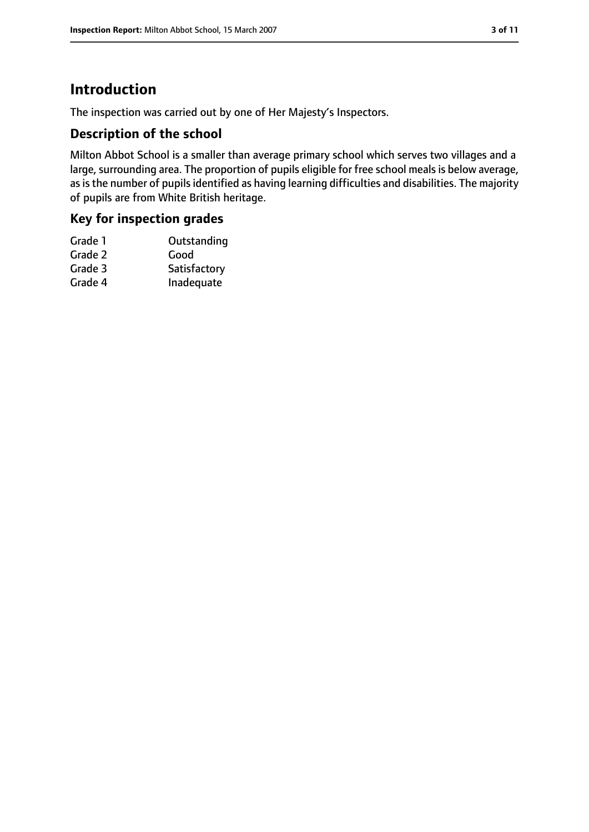# **Introduction**

The inspection was carried out by one of Her Majesty's Inspectors.

#### **Description of the school**

Milton Abbot School is a smaller than average primary school which serves two villages and a large, surrounding area. The proportion of pupils eligible for free school meals is below average, as is the number of pupils identified as having learning difficulties and disabilities. The majority of pupils are from White British heritage.

#### **Key for inspection grades**

| Grade 1 | Outstanding  |
|---------|--------------|
| Grade 2 | Good         |
| Grade 3 | Satisfactory |
| Grade 4 | Inadequate   |
|         |              |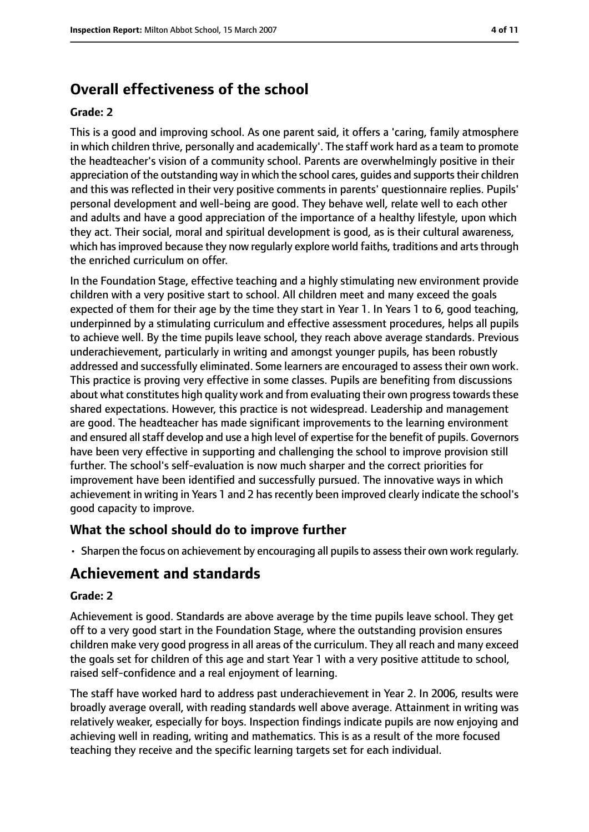# **Overall effectiveness of the school**

#### **Grade: 2**

This is a good and improving school. As one parent said, it offers a 'caring, family atmosphere in which children thrive, personally and academically'. The staff work hard as a team to promote the headteacher's vision of a community school. Parents are overwhelmingly positive in their appreciation of the outstanding way in which the school cares, guides and supports their children and this was reflected in their very positive comments in parents' questionnaire replies. Pupils' personal development and well-being are good. They behave well, relate well to each other and adults and have a good appreciation of the importance of a healthy lifestyle, upon which they act. Their social, moral and spiritual development is good, as is their cultural awareness, which has improved because they now regularly explore world faiths, traditions and arts through the enriched curriculum on offer.

In the Foundation Stage, effective teaching and a highly stimulating new environment provide children with a very positive start to school. All children meet and many exceed the goals expected of them for their age by the time they start in Year 1. In Years 1 to 6, good teaching, underpinned by a stimulating curriculum and effective assessment procedures, helps all pupils to achieve well. By the time pupils leave school, they reach above average standards. Previous underachievement, particularly in writing and amongst younger pupils, has been robustly addressed and successfully eliminated. Some learners are encouraged to assess their own work. This practice is proving very effective in some classes. Pupils are benefiting from discussions about what constitutes high quality work and from evaluating their own progress towards these shared expectations. However, this practice is not widespread. Leadership and management are good. The headteacher has made significant improvements to the learning environment and ensured all staff develop and use a high level of expertise for the benefit of pupils. Governors have been very effective in supporting and challenging the school to improve provision still further. The school's self-evaluation is now much sharper and the correct priorities for improvement have been identified and successfully pursued. The innovative ways in which achievement in writing in Years 1 and 2 has recently been improved clearly indicate the school's good capacity to improve.

## **What the school should do to improve further**

• Sharpen the focus on achievement by encouraging all pupils to assess their own work regularly.

## **Achievement and standards**

#### **Grade: 2**

Achievement is good. Standards are above average by the time pupils leave school. They get off to a very good start in the Foundation Stage, where the outstanding provision ensures children make very good progress in all areas of the curriculum. They all reach and many exceed the goals set for children of this age and start Year 1 with a very positive attitude to school, raised self-confidence and a real enjoyment of learning.

The staff have worked hard to address past underachievement in Year 2. In 2006, results were broadly average overall, with reading standards well above average. Attainment in writing was relatively weaker, especially for boys. Inspection findings indicate pupils are now enjoying and achieving well in reading, writing and mathematics. This is as a result of the more focused teaching they receive and the specific learning targets set for each individual.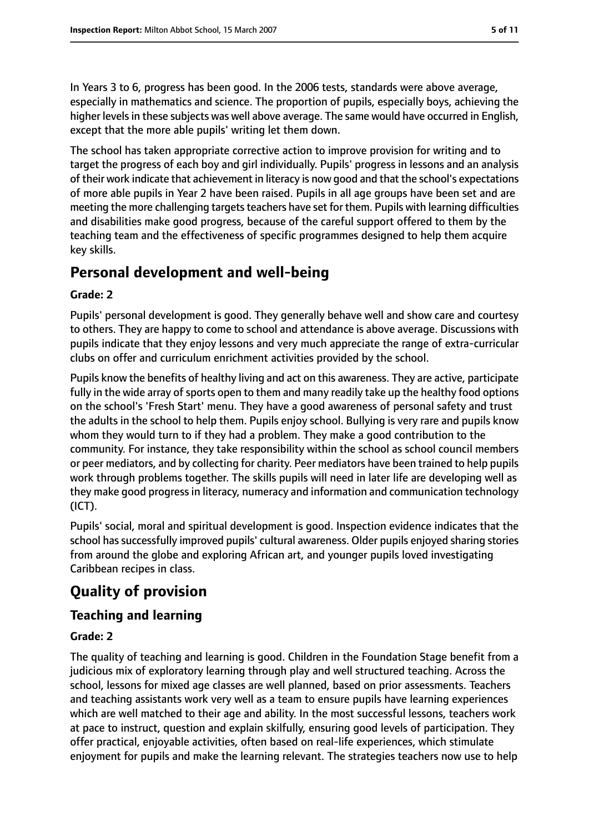In Years 3 to 6, progress has been good. In the 2006 tests, standards were above average, especially in mathematics and science. The proportion of pupils, especially boys, achieving the higher levelsin these subjects was well above average. The same would have occurred in English, except that the more able pupils' writing let them down.

The school has taken appropriate corrective action to improve provision for writing and to target the progress of each boy and girl individually. Pupils' progress in lessons and an analysis of their work indicate that achievement in literacy is now good and that the school's expectations of more able pupils in Year 2 have been raised. Pupils in all age groups have been set and are meeting the more challenging targets teachers have set for them. Pupils with learning difficulties and disabilities make good progress, because of the careful support offered to them by the teaching team and the effectiveness of specific programmes designed to help them acquire key skills.

# **Personal development and well-being**

#### **Grade: 2**

Pupils' personal development is good. They generally behave well and show care and courtesy to others. They are happy to come to school and attendance is above average. Discussions with pupils indicate that they enjoy lessons and very much appreciate the range of extra-curricular clubs on offer and curriculum enrichment activities provided by the school.

Pupils know the benefits of healthy living and act on this awareness. They are active, participate fully in the wide array of sports open to them and many readily take up the healthy food options on the school's 'Fresh Start' menu. They have a good awareness of personal safety and trust the adults in the school to help them. Pupils enjoy school. Bullying is very rare and pupils know whom they would turn to if they had a problem. They make a good contribution to the community. For instance, they take responsibility within the school as school council members or peer mediators, and by collecting for charity. Peer mediators have been trained to help pupils work through problems together. The skills pupils will need in later life are developing well as they make good progress in literacy, numeracy and information and communication technology (ICT).

Pupils' social, moral and spiritual development is good. Inspection evidence indicates that the school hassuccessfully improved pupils' cultural awareness. Older pupils enjoyed sharing stories from around the globe and exploring African art, and younger pupils loved investigating Caribbean recipes in class.

# **Quality of provision**

## **Teaching and learning**

#### **Grade: 2**

The quality of teaching and learning is good. Children in the Foundation Stage benefit from a judicious mix of exploratory learning through play and well structured teaching. Across the school, lessons for mixed age classes are well planned, based on prior assessments. Teachers and teaching assistants work very well as a team to ensure pupils have learning experiences which are well matched to their age and ability. In the most successful lessons, teachers work at pace to instruct, question and explain skilfully, ensuring good levels of participation. They offer practical, enjoyable activities, often based on real-life experiences, which stimulate enjoyment for pupils and make the learning relevant. The strategies teachers now use to help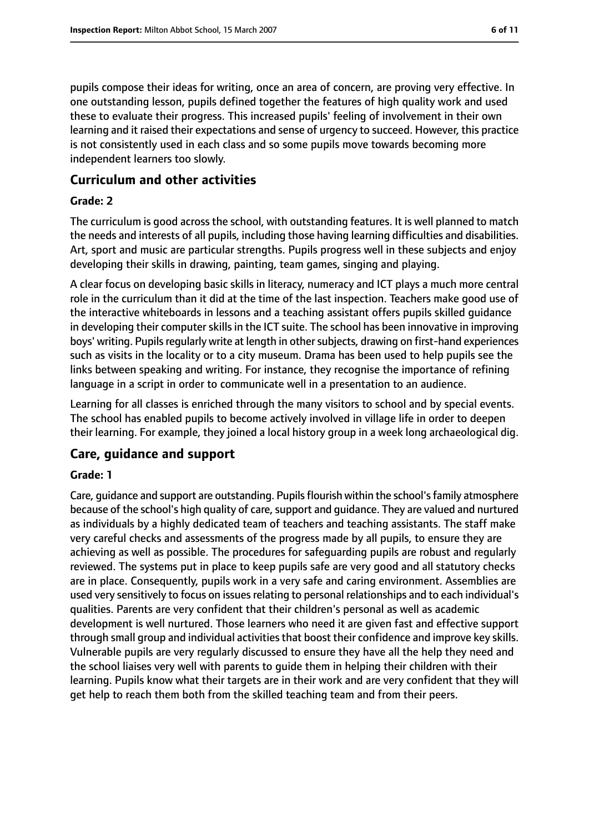pupils compose their ideas for writing, once an area of concern, are proving very effective. In one outstanding lesson, pupils defined together the features of high quality work and used these to evaluate their progress. This increased pupils' feeling of involvement in their own learning and it raised their expectations and sense of urgency to succeed. However, this practice is not consistently used in each class and so some pupils move towards becoming more independent learners too slowly.

### **Curriculum and other activities**

#### **Grade: 2**

The curriculum is good across the school, with outstanding features. It is well planned to match the needs and interests of all pupils, including those having learning difficulties and disabilities. Art, sport and music are particular strengths. Pupils progress well in these subjects and enjoy developing their skills in drawing, painting, team games, singing and playing.

A clear focus on developing basic skills in literacy, numeracy and ICT plays a much more central role in the curriculum than it did at the time of the last inspection. Teachers make good use of the interactive whiteboards in lessons and a teaching assistant offers pupils skilled guidance in developing their computer skills in the ICT suite. The school has been innovative in improving boys' writing. Pupils regularly write at length in other subjects, drawing on first-hand experiences such as visits in the locality or to a city museum. Drama has been used to help pupils see the links between speaking and writing. For instance, they recognise the importance of refining language in a script in order to communicate well in a presentation to an audience.

Learning for all classes is enriched through the many visitors to school and by special events. The school has enabled pupils to become actively involved in village life in order to deepen their learning. For example, they joined a local history group in a week long archaeological dig.

#### **Care, guidance and support**

#### **Grade: 1**

Care, guidance and support are outstanding. Pupilsflourish within the school'sfamily atmosphere because of the school's high quality of care, support and quidance. They are valued and nurtured as individuals by a highly dedicated team of teachers and teaching assistants. The staff make very careful checks and assessments of the progress made by all pupils, to ensure they are achieving as well as possible. The procedures for safeguarding pupils are robust and regularly reviewed. The systems put in place to keep pupils safe are very good and all statutory checks are in place. Consequently, pupils work in a very safe and caring environment. Assemblies are used very sensitively to focus on issues relating to personal relationships and to each individual's qualities. Parents are very confident that their children's personal as well as academic development is well nurtured. Those learners who need it are given fast and effective support through small group and individual activities that boost their confidence and improve key skills. Vulnerable pupils are very regularly discussed to ensure they have all the help they need and the school liaises very well with parents to guide them in helping their children with their learning. Pupils know what their targets are in their work and are very confident that they will get help to reach them both from the skilled teaching team and from their peers.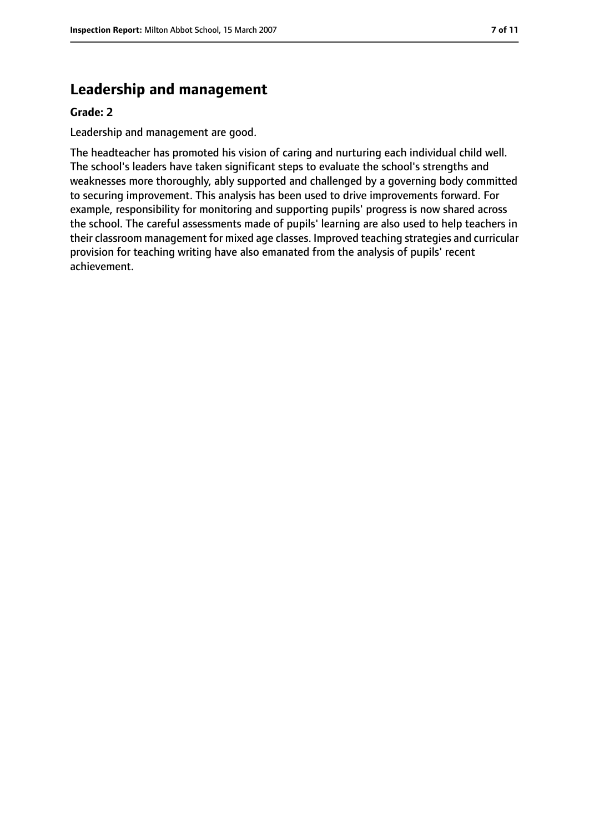## **Leadership and management**

#### **Grade: 2**

Leadership and management are good.

The headteacher has promoted his vision of caring and nurturing each individual child well. The school's leaders have taken significant steps to evaluate the school's strengths and weaknesses more thoroughly, ably supported and challenged by a governing body committed to securing improvement. This analysis has been used to drive improvements forward. For example, responsibility for monitoring and supporting pupils' progress is now shared across the school. The careful assessments made of pupils' learning are also used to help teachers in their classroom management for mixed age classes. Improved teaching strategies and curricular provision for teaching writing have also emanated from the analysis of pupils' recent achievement.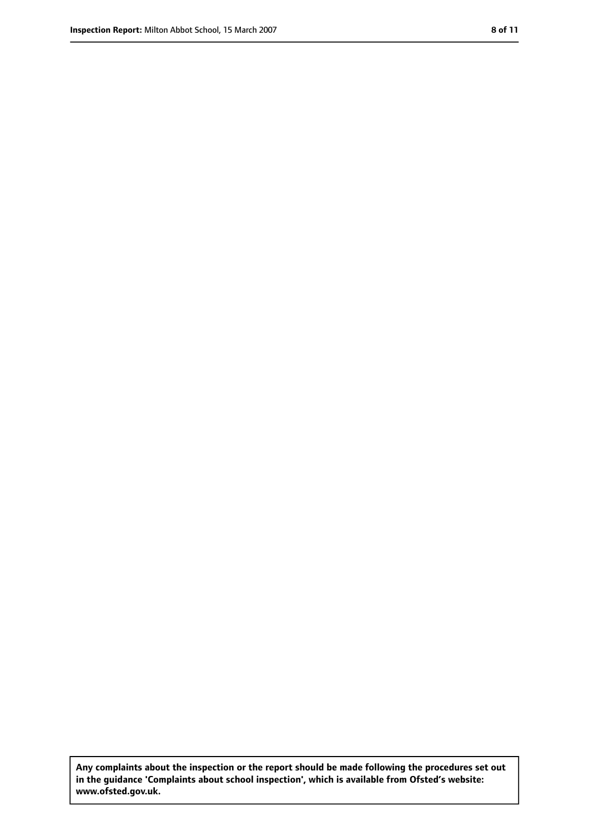**Any complaints about the inspection or the report should be made following the procedures set out in the guidance 'Complaints about school inspection', which is available from Ofsted's website: www.ofsted.gov.uk.**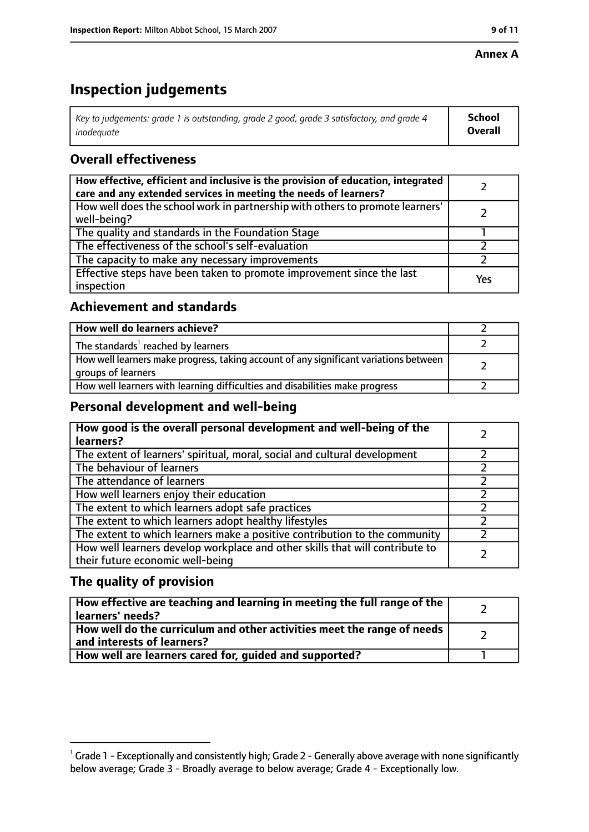#### **Annex A**

# **Inspection judgements**

| Key to judgements: grade 1 is outstanding, grade 2 good, grade 3 satisfactory, and grade 4 $\,$ | <b>School</b>  |
|-------------------------------------------------------------------------------------------------|----------------|
| inadequate                                                                                      | <b>Overall</b> |

## **Overall effectiveness**

| How effective, efficient and inclusive is the provision of education, integrated<br>care and any extended services in meeting the needs of learners? |     |
|------------------------------------------------------------------------------------------------------------------------------------------------------|-----|
| How well does the school work in partnership with others to promote learners'<br>well-being?                                                         |     |
| The quality and standards in the Foundation Stage                                                                                                    |     |
| The effectiveness of the school's self-evaluation                                                                                                    |     |
| The capacity to make any necessary improvements                                                                                                      |     |
| Effective steps have been taken to promote improvement since the last<br>inspection                                                                  | Yes |

## **Achievement and standards**

| How well do learners achieve?                                                                               |  |
|-------------------------------------------------------------------------------------------------------------|--|
| The standards <sup>1</sup> reached by learners                                                              |  |
| How well learners make progress, taking account of any significant variations between<br>groups of learners |  |
| How well learners with learning difficulties and disabilities make progress                                 |  |

## **Personal development and well-being**

| How good is the overall personal development and well-being of the<br>learners?                                  |  |
|------------------------------------------------------------------------------------------------------------------|--|
| The extent of learners' spiritual, moral, social and cultural development                                        |  |
| The behaviour of learners                                                                                        |  |
| The attendance of learners                                                                                       |  |
| How well learners enjoy their education                                                                          |  |
| The extent to which learners adopt safe practices                                                                |  |
| The extent to which learners adopt healthy lifestyles                                                            |  |
| The extent to which learners make a positive contribution to the community                                       |  |
| How well learners develop workplace and other skills that will contribute to<br>their future economic well-being |  |

## **The quality of provision**

| How effective are teaching and learning in meeting the full range of the<br>learners' needs?          |  |
|-------------------------------------------------------------------------------------------------------|--|
| How well do the curriculum and other activities meet the range of needs<br>and interests of learners? |  |
| How well are learners cared for, quided and supported?                                                |  |

 $^1$  Grade 1 - Exceptionally and consistently high; Grade 2 - Generally above average with none significantly below average; Grade 3 - Broadly average to below average; Grade 4 - Exceptionally low.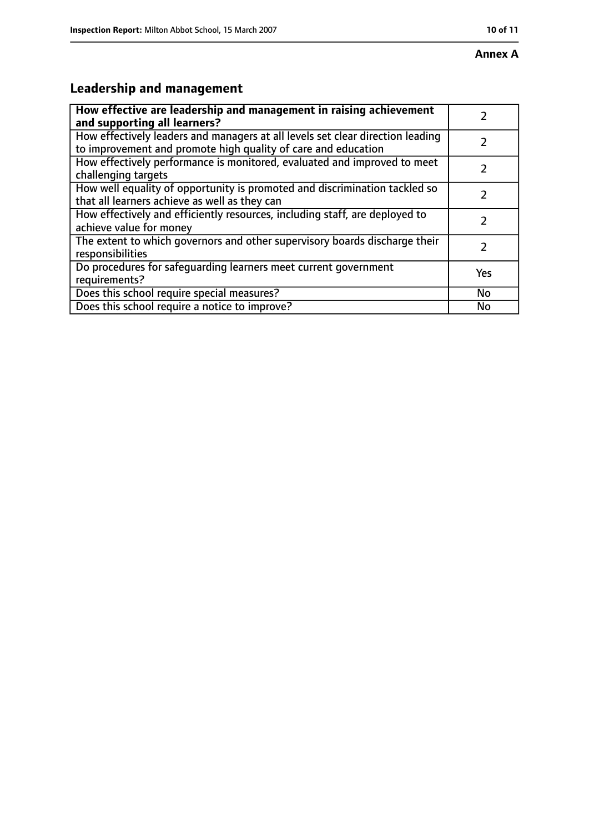# **Leadership and management**

| How effective are leadership and management in raising achievement<br>and supporting all learners?                                              |           |
|-------------------------------------------------------------------------------------------------------------------------------------------------|-----------|
| How effectively leaders and managers at all levels set clear direction leading<br>to improvement and promote high quality of care and education |           |
| How effectively performance is monitored, evaluated and improved to meet<br>challenging targets                                                 |           |
| How well equality of opportunity is promoted and discrimination tackled so<br>that all learners achieve as well as they can                     |           |
| How effectively and efficiently resources, including staff, are deployed to<br>achieve value for money                                          | 7         |
| The extent to which governors and other supervisory boards discharge their<br>responsibilities                                                  | 2         |
| Do procedures for safequarding learners meet current government<br>requirements?                                                                | Yes       |
| Does this school require special measures?                                                                                                      | <b>No</b> |
| Does this school require a notice to improve?                                                                                                   | No        |